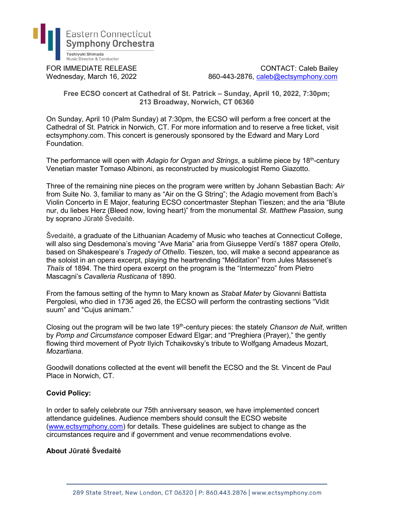

FOR IMMEDIATE RELEASE CONTACT: Caleb Bailey Wednesday, March 16, 2022 and the same state of 860-443-2876, caleb@ectsymphony.com

## Free ECSO concert at Cathedral of St. Patrick – Sunday, April 10, 2022, 7:30pm; 213 Broadway, Norwich, CT 06360

On Sunday, April 10 (Palm Sunday) at 7:30pm, the ECSO will perform a free concert at the Cathedral of St. Patrick in Norwich, CT. For more information and to reserve a free ticket, visit ectsymphony.com. This concert is generously sponsored by the Edward and Mary Lord Foundation.

The performance will open with Adagio for Organ and Strings, a sublime piece by 18<sup>th</sup>-century Venetian master Tomaso Albinoni, as reconstructed by musicologist Remo Giazotto.

Three of the remaining nine pieces on the program were written by Johann Sebastian Bach: Air from Suite No. 3, familiar to many as "Air on the G String"; the Adagio movement from Bach's Violin Concerto in E Major, featuring ECSO concertmaster Stephan Tieszen; and the aria "Blute nur, du liebes Herz (Bleed now, loving heart)" from the monumental St. Matthew Passion, sung by soprano Jūratė Švedaitė.

Švedaitė, a graduate of the Lithuanian Academy of Music who teaches at Connecticut College, will also sing Desdemona's moving "Ave Maria" aria from Giuseppe Verdi's 1887 opera Otello, based on Shakespeare's Tragedy of Othello. Tieszen, too, will make a second appearance as the soloist in an opera excerpt, playing the heartrending "Méditation" from Jules Massenet's Thaïs of 1894. The third opera excerpt on the program is the "Intermezzo" from Pietro Mascagni's Cavalleria Rusticana of 1890.

From the famous setting of the hymn to Mary known as Stabat Mater by Giovanni Battista Pergolesi, who died in 1736 aged 26, the ECSO will perform the contrasting sections "Vidit suum" and "Cujus animam."

Closing out the program will be two late  $19<sup>th</sup>$ -century pieces: the stately *Chanson de Nuit*, written by Pomp and Circumstance composer Edward Elgar; and "Preghiera (Prayer)," the gently flowing third movement of Pyotr Ilyich Tchaikovsky's tribute to Wolfgang Amadeus Mozart, Mozartiana.

Goodwill donations collected at the event will benefit the ECSO and the St. Vincent de Paul Place in Norwich, CT.

## Covid Policy:

In order to safely celebrate our 75th anniversary season, we have implemented concert attendance guidelines. Audience members should consult the ECSO website (www.ectsymphony.com) for details. These guidelines are subject to change as the circumstances require and if government and venue recommendations evolve.

## About Jūratė Švedaitė